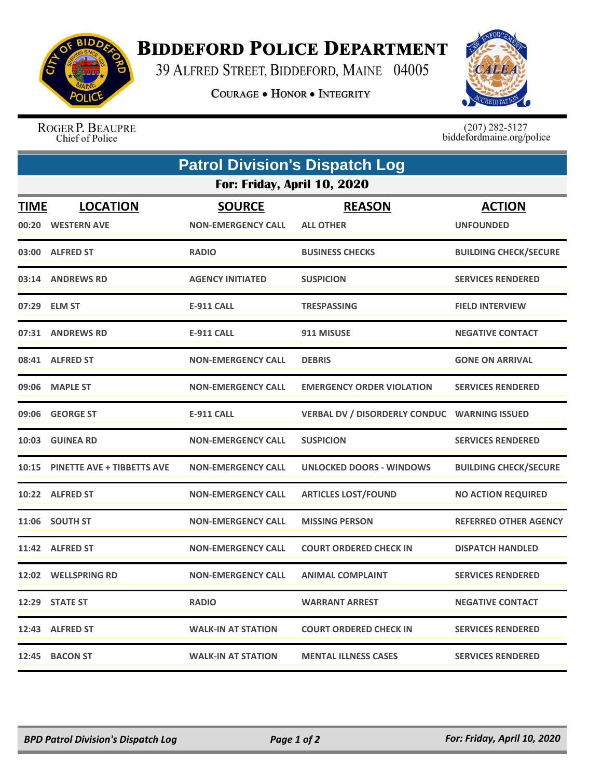

## **BIDDEFORD POLICE DEPARTMENT**

39 ALFRED STREET, BIDDEFORD, MAINE 04005

**COURAGE . HONOR . INTEGRITY** 



ROGER P. BEAUPRE Chief of Police

 $(207)$  282-5127<br>biddefordmaine.org/police

| <b>Patrol Division's Dispatch Log</b> |                                   |                           |                                              |                              |  |  |  |  |  |
|---------------------------------------|-----------------------------------|---------------------------|----------------------------------------------|------------------------------|--|--|--|--|--|
|                                       | For: Friday, April 10, 2020       |                           |                                              |                              |  |  |  |  |  |
| <b>TIME</b>                           | <b>LOCATION</b>                   | <b>SOURCE</b>             | <b>REASON</b>                                | <b>ACTION</b>                |  |  |  |  |  |
|                                       | 00:20 WESTERN AVE                 | <b>NON-EMERGENCY CALL</b> | <b>ALL OTHER</b>                             | <b>UNFOUNDED</b>             |  |  |  |  |  |
|                                       | 03:00 ALFRED ST                   | <b>RADIO</b>              | <b>BUSINESS CHECKS</b>                       | <b>BUILDING CHECK/SECURE</b> |  |  |  |  |  |
|                                       | 03:14 ANDREWS RD                  | <b>AGENCY INITIATED</b>   | <b>SUSPICION</b>                             | <b>SERVICES RENDERED</b>     |  |  |  |  |  |
| 07:29                                 | <b>ELM ST</b>                     | <b>E-911 CALL</b>         | <b>TRESPASSING</b>                           | <b>FIELD INTERVIEW</b>       |  |  |  |  |  |
| 07:31                                 | <b>ANDREWS RD</b>                 | <b>E-911 CALL</b>         | 911 MISUSE                                   | <b>NEGATIVE CONTACT</b>      |  |  |  |  |  |
|                                       | 08:41 ALFRED ST                   | <b>NON-EMERGENCY CALL</b> | <b>DEBRIS</b>                                | <b>GONE ON ARRIVAL</b>       |  |  |  |  |  |
| 09:06                                 | <b>MAPLE ST</b>                   | <b>NON-EMERGENCY CALL</b> | <b>EMERGENCY ORDER VIOLATION</b>             | <b>SERVICES RENDERED</b>     |  |  |  |  |  |
| 09:06                                 | <b>GEORGE ST</b>                  | <b>E-911 CALL</b>         | VERBAL DV / DISORDERLY CONDUC WARNING ISSUED |                              |  |  |  |  |  |
|                                       | 10:03 GUINEA RD                   | <b>NON-EMERGENCY CALL</b> | <b>SUSPICION</b>                             | <b>SERVICES RENDERED</b>     |  |  |  |  |  |
| 10:15                                 | <b>PINETTE AVE + TIBBETTS AVE</b> | <b>NON-EMERGENCY CALL</b> | <b>UNLOCKED DOORS - WINDOWS</b>              | <b>BUILDING CHECK/SECURE</b> |  |  |  |  |  |
|                                       | 10:22 ALFRED ST                   | <b>NON-EMERGENCY CALL</b> | <b>ARTICLES LOST/FOUND</b>                   | <b>NO ACTION REQUIRED</b>    |  |  |  |  |  |
|                                       | 11:06 SOUTH ST                    | <b>NON-EMERGENCY CALL</b> | <b>MISSING PERSON</b>                        | <b>REFERRED OTHER AGENCY</b> |  |  |  |  |  |
|                                       | 11:42 ALFRED ST                   | <b>NON-EMERGENCY CALL</b> | <b>COURT ORDERED CHECK IN</b>                | <b>DISPATCH HANDLED</b>      |  |  |  |  |  |
|                                       | 12:02 WELLSPRING RD               | <b>NON-EMERGENCY CALL</b> | <b>ANIMAL COMPLAINT</b>                      | <b>SERVICES RENDERED</b>     |  |  |  |  |  |
| 12:29                                 | <b>STATE ST</b>                   | <b>RADIO</b>              | <b>WARRANT ARREST</b>                        | <b>NEGATIVE CONTACT</b>      |  |  |  |  |  |
|                                       | 12:43 ALFRED ST                   | <b>WALK-IN AT STATION</b> | <b>COURT ORDERED CHECK IN</b>                | <b>SERVICES RENDERED</b>     |  |  |  |  |  |
|                                       | 12:45 BACON ST                    | <b>WALK-IN AT STATION</b> | <b>MENTAL ILLNESS CASES</b>                  | <b>SERVICES RENDERED</b>     |  |  |  |  |  |